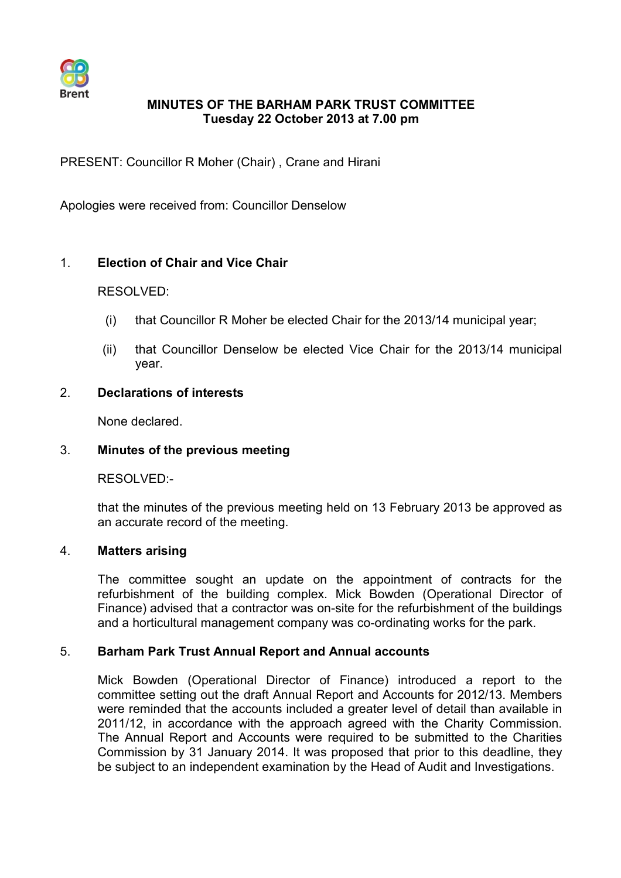

# **MINUTES OF THE BARHAM PARK TRUST COMMITTEE Tuesday 22 October 2013 at 7.00 pm**

PRESENT: Councillor R Moher (Chair) , Crane and Hirani

Apologies were received from: Councillor Denselow

# 1. **Election of Chair and Vice Chair**

### RESOLVED:

- (i) that Councillor R Moher be elected Chair for the 2013/14 municipal year;
- (ii) that Councillor Denselow be elected Vice Chair for the 2013/14 municipal year.
- 2. **Declarations of interests**

None declared.

## 3. **Minutes of the previous meeting**

RESOLVED:-

that the minutes of the previous meeting held on 13 February 2013 be approved as an accurate record of the meeting.

## 4. **Matters arising**

The committee sought an update on the appointment of contracts for the refurbishment of the building complex. Mick Bowden (Operational Director of Finance) advised that a contractor was on-site for the refurbishment of the buildings and a horticultural management company was co-ordinating works for the park.

## 5. **Barham Park Trust Annual Report and Annual accounts**

Mick Bowden (Operational Director of Finance) introduced a report to the committee setting out the draft Annual Report and Accounts for 2012/13. Members were reminded that the accounts included a greater level of detail than available in 2011/12, in accordance with the approach agreed with the Charity Commission. The Annual Report and Accounts were required to be submitted to the Charities Commission by 31 January 2014. It was proposed that prior to this deadline, they be subject to an independent examination by the Head of Audit and Investigations.